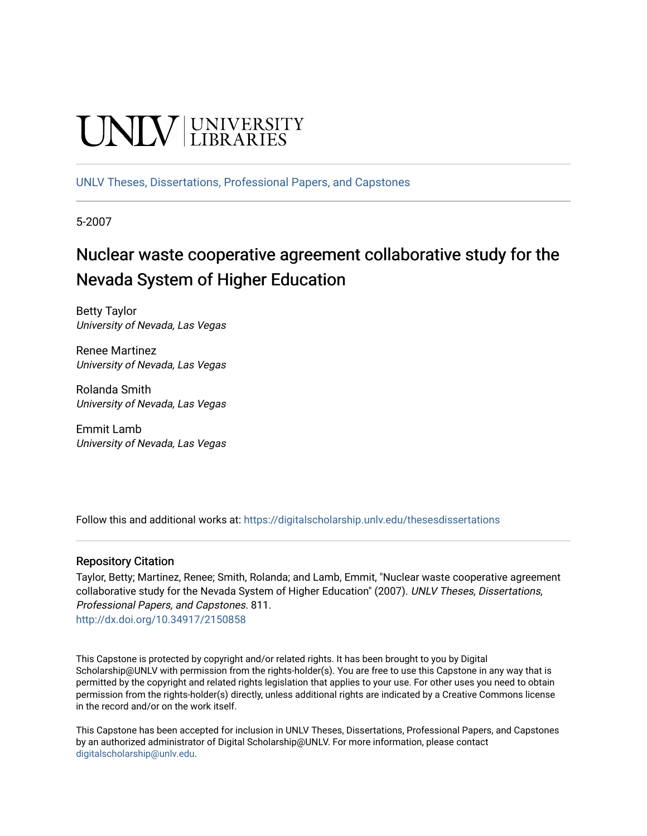# **UNIVERSITY**

[UNLV Theses, Dissertations, Professional Papers, and Capstones](https://digitalscholarship.unlv.edu/thesesdissertations)

5-2007

# Nuclear waste cooperative agreement collaborative study for the Nevada System of Higher Education

Betty Taylor University of Nevada, Las Vegas

Renee Martinez University of Nevada, Las Vegas

Rolanda Smith University of Nevada, Las Vegas

Emmit Lamb University of Nevada, Las Vegas

Follow this and additional works at: [https://digitalscholarship.unlv.edu/thesesdissertations](https://digitalscholarship.unlv.edu/thesesdissertations?utm_source=digitalscholarship.unlv.edu%2Fthesesdissertations%2F811&utm_medium=PDF&utm_campaign=PDFCoverPages)

#### Repository Citation

Taylor, Betty; Martinez, Renee; Smith, Rolanda; and Lamb, Emmit, "Nuclear waste cooperative agreement collaborative study for the Nevada System of Higher Education" (2007). UNLV Theses, Dissertations, Professional Papers, and Capstones. 811. <http://dx.doi.org/10.34917/2150858>

This Capstone is protected by copyright and/or related rights. It has been brought to you by Digital Scholarship@UNLV with permission from the rights-holder(s). You are free to use this Capstone in any way that is permitted by the copyright and related rights legislation that applies to your use. For other uses you need to obtain permission from the rights-holder(s) directly, unless additional rights are indicated by a Creative Commons license in the record and/or on the work itself.

This Capstone has been accepted for inclusion in UNLV Theses, Dissertations, Professional Papers, and Capstones by an authorized administrator of Digital Scholarship@UNLV. For more information, please contact [digitalscholarship@unlv.edu](mailto:digitalscholarship@unlv.edu).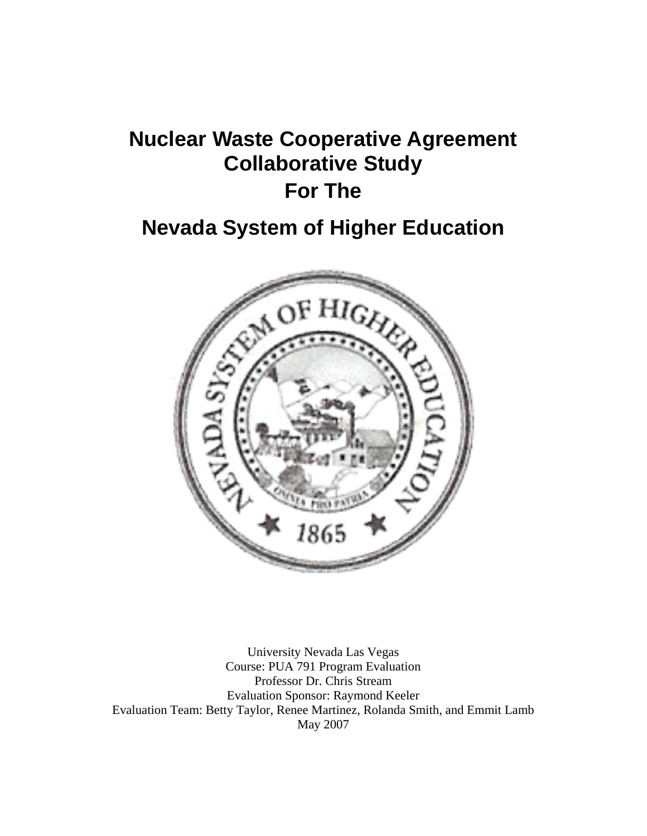# **Nuclear Waste Cooperative Agreement Collaborative Study For The**

# **Nevada System of Higher Education**



University Nevada Las Vegas Course: PUA 791 Program Evaluation Professor Dr. Chris Stream Evaluation Sponsor: Raymond Keeler Evaluation Team: Betty Taylor, Renee Martinez, Rolanda Smith, and Emmit Lamb May 2007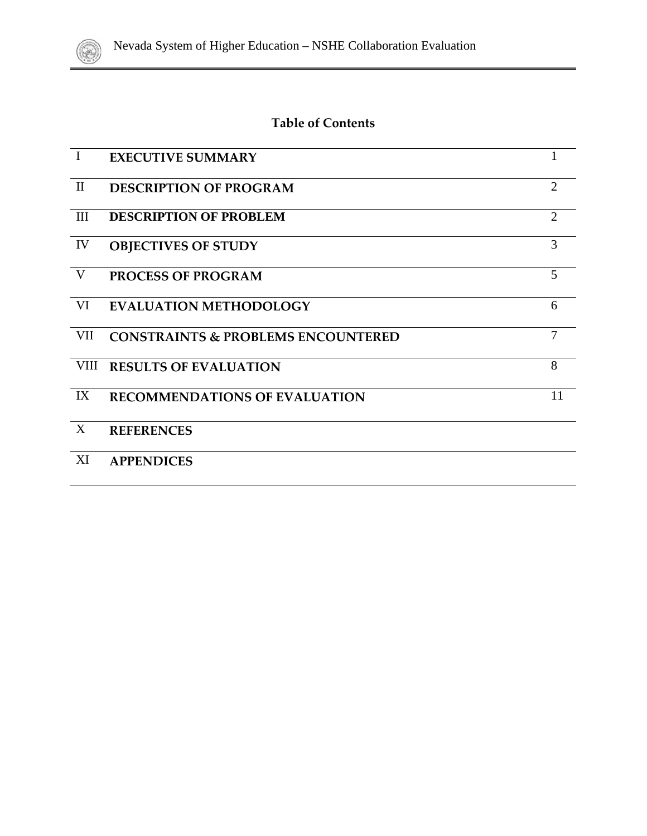

# **Table of Contents**

| $\mathbf I$               | <b>EXECUTIVE SUMMARY</b>                      |                |
|---------------------------|-----------------------------------------------|----------------|
| $\mathbf{I}$              | <b>DESCRIPTION OF PROGRAM</b>                 | $\overline{2}$ |
| III                       | <b>DESCRIPTION OF PROBLEM</b>                 | $\overline{2}$ |
| IV                        | <b>OBJECTIVES OF STUDY</b>                    | 3              |
| V                         | <b>PROCESS OF PROGRAM</b>                     | 5              |
| VI                        | <b>EVALUATION METHODOLOGY</b>                 | 6              |
| VII                       | <b>CONSTRAINTS &amp; PROBLEMS ENCOUNTERED</b> | 7              |
| VIII                      | <b>RESULTS OF EVALUATION</b>                  | 8              |
| IX                        | <b>RECOMMENDATIONS OF EVALUATION</b>          | 11             |
| $\boldsymbol{\mathrm{X}}$ | <b>REFERENCES</b>                             |                |
| XI                        | <b>APPENDICES</b>                             |                |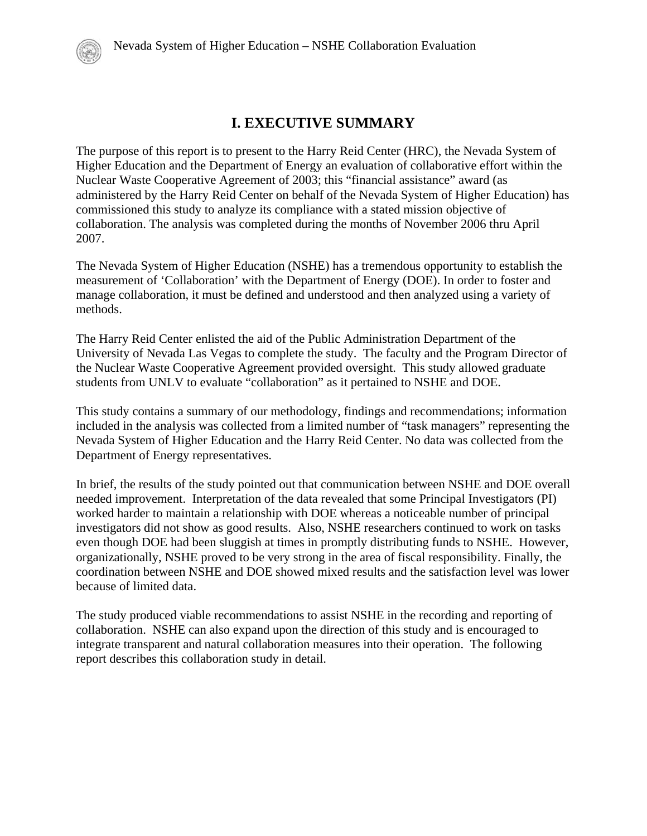# **I. EXECUTIVE SUMMARY**

The purpose of this report is to present to the Harry Reid Center (HRC), the Nevada System of Higher Education and the Department of Energy an evaluation of collaborative effort within the Nuclear Waste Cooperative Agreement of 2003; this "financial assistance" award (as administered by the Harry Reid Center on behalf of the Nevada System of Higher Education) has commissioned this study to analyze its compliance with a stated mission objective of collaboration. The analysis was completed during the months of November 2006 thru April 2007.

The Nevada System of Higher Education (NSHE) has a tremendous opportunity to establish the measurement of 'Collaboration' with the Department of Energy (DOE). In order to foster and manage collaboration, it must be defined and understood and then analyzed using a variety of methods.

The Harry Reid Center enlisted the aid of the Public Administration Department of the University of Nevada Las Vegas to complete the study. The faculty and the Program Director of the Nuclear Waste Cooperative Agreement provided oversight. This study allowed graduate students from UNLV to evaluate "collaboration" as it pertained to NSHE and DOE.

This study contains a summary of our methodology, findings and recommendations; information included in the analysis was collected from a limited number of "task managers" representing the Nevada System of Higher Education and the Harry Reid Center. No data was collected from the Department of Energy representatives.

In brief, the results of the study pointed out that communication between NSHE and DOE overall needed improvement. Interpretation of the data revealed that some Principal Investigators (PI) worked harder to maintain a relationship with DOE whereas a noticeable number of principal investigators did not show as good results. Also, NSHE researchers continued to work on tasks even though DOE had been sluggish at times in promptly distributing funds to NSHE. However, organizationally, NSHE proved to be very strong in the area of fiscal responsibility. Finally, the coordination between NSHE and DOE showed mixed results and the satisfaction level was lower because of limited data.

The study produced viable recommendations to assist NSHE in the recording and reporting of collaboration. NSHE can also expand upon the direction of this study and is encouraged to integrate transparent and natural collaboration measures into their operation. The following report describes this collaboration study in detail.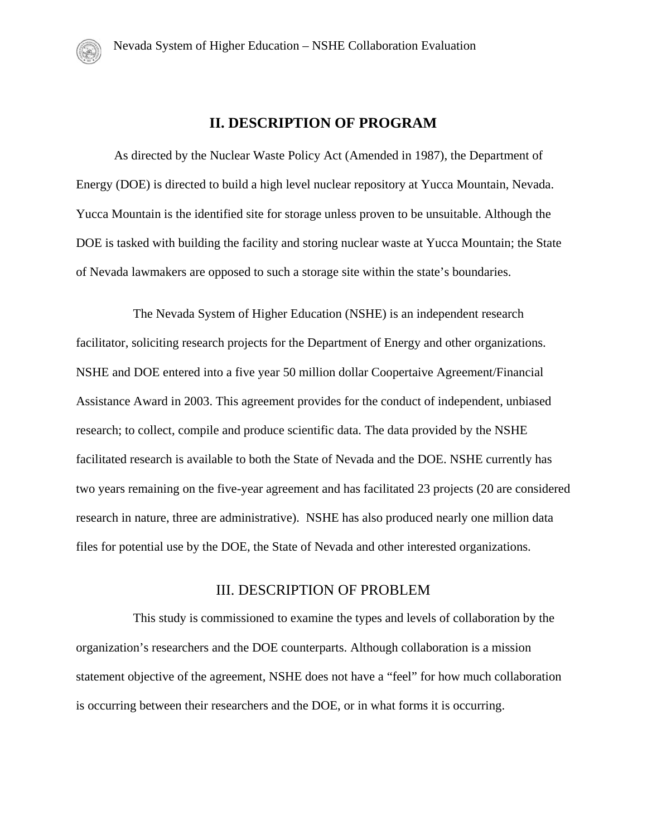# **II. DESCRIPTION OF PROGRAM**

As directed by the Nuclear Waste Policy Act (Amended in 1987), the Department of Energy (DOE) is directed to build a high level nuclear repository at Yucca Mountain, Nevada. Yucca Mountain is the identified site for storage unless proven to be unsuitable. Although the DOE is tasked with building the facility and storing nuclear waste at Yucca Mountain; the State of Nevada lawmakers are opposed to such a storage site within the state's boundaries.

The Nevada System of Higher Education (NSHE) is an independent research facilitator, soliciting research projects for the Department of Energy and other organizations. NSHE and DOE entered into a five year 50 million dollar Coopertaive Agreement/Financial Assistance Award in 2003. This agreement provides for the conduct of independent, unbiased research; to collect, compile and produce scientific data. The data provided by the NSHE facilitated research is available to both the State of Nevada and the DOE. NSHE currently has two years remaining on the five-year agreement and has facilitated 23 projects (20 are considered research in nature, three are administrative). NSHE has also produced nearly one million data files for potential use by the DOE, the State of Nevada and other interested organizations.

#### III. DESCRIPTION OF PROBLEM

This study is commissioned to examine the types and levels of collaboration by the organization's researchers and the DOE counterparts. Although collaboration is a mission statement objective of the agreement, NSHE does not have a "feel" for how much collaboration is occurring between their researchers and the DOE, or in what forms it is occurring.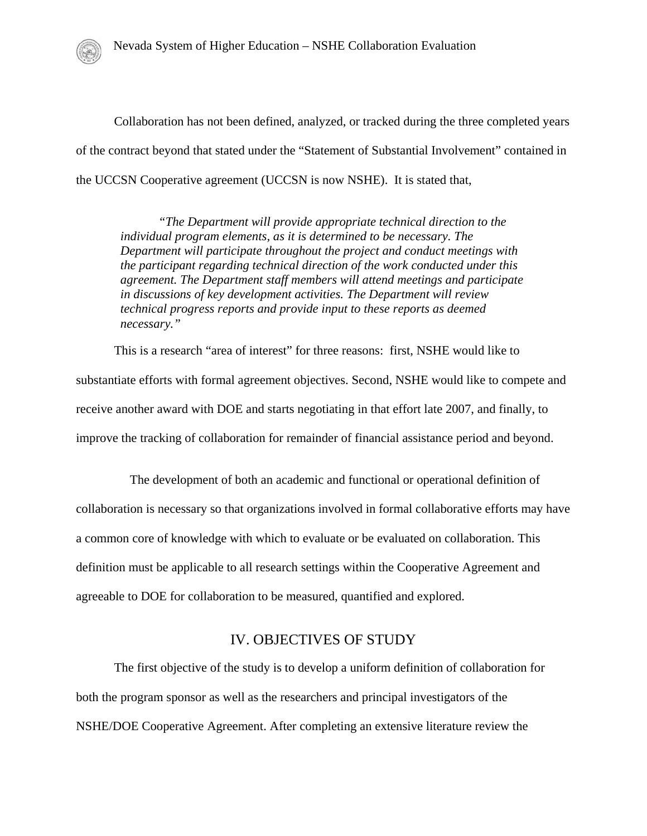Collaboration has not been defined, analyzed, or tracked during the three completed years of the contract beyond that stated under the "Statement of Substantial Involvement" contained in the UCCSN Cooperative agreement (UCCSN is now NSHE). It is stated that,

*"The Department will provide appropriate technical direction to the individual program elements, as it is determined to be necessary. The Department will participate throughout the project and conduct meetings with the participant regarding technical direction of the work conducted under this agreement. The Department staff members will attend meetings and participate in discussions of key development activities. The Department will review technical progress reports and provide input to these reports as deemed necessary."* 

This is a research "area of interest" for three reasons: first, NSHE would like to substantiate efforts with formal agreement objectives. Second, NSHE would like to compete and receive another award with DOE and starts negotiating in that effort late 2007, and finally, to improve the tracking of collaboration for remainder of financial assistance period and beyond.

 The development of both an academic and functional or operational definition of collaboration is necessary so that organizations involved in formal collaborative efforts may have a common core of knowledge with which to evaluate or be evaluated on collaboration. This definition must be applicable to all research settings within the Cooperative Agreement and agreeable to DOE for collaboration to be measured, quantified and explored.

## IV. OBJECTIVES OF STUDY

The first objective of the study is to develop a uniform definition of collaboration for both the program sponsor as well as the researchers and principal investigators of the NSHE/DOE Cooperative Agreement. After completing an extensive literature review the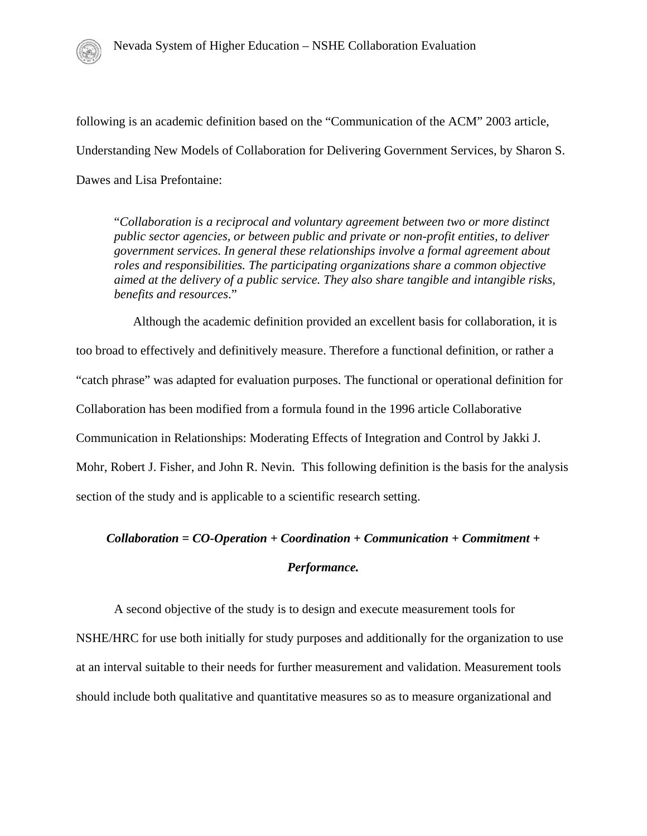following is an academic definition based on the "Communication of the ACM" 2003 article, Understanding New Models of Collaboration for Delivering Government Services, by Sharon S. Dawes and Lisa Prefontaine:

"*Collaboration is a reciprocal and voluntary agreement between two or more distinct public sector agencies, or between public and private or non-profit entities, to deliver government services. In general these relationships involve a formal agreement about roles and responsibilities. The participating organizations share a common objective aimed at the delivery of a public service. They also share tangible and intangible risks, benefits and resources*."

Although the academic definition provided an excellent basis for collaboration, it is too broad to effectively and definitively measure. Therefore a functional definition, or rather a "catch phrase" was adapted for evaluation purposes. The functional or operational definition for Collaboration has been modified from a formula found in the 1996 article Collaborative Communication in Relationships: Moderating Effects of Integration and Control by Jakki J. Mohr, Robert J. Fisher, and John R. Nevin. This following definition is the basis for the analysis section of the study and is applicable to a scientific research setting.

# *Collaboration = CO-Operation + Coordination + Communication + Commitment +*

### *Performance.*

A second objective of the study is to design and execute measurement tools for NSHE/HRC for use both initially for study purposes and additionally for the organization to use at an interval suitable to their needs for further measurement and validation. Measurement tools should include both qualitative and quantitative measures so as to measure organizational and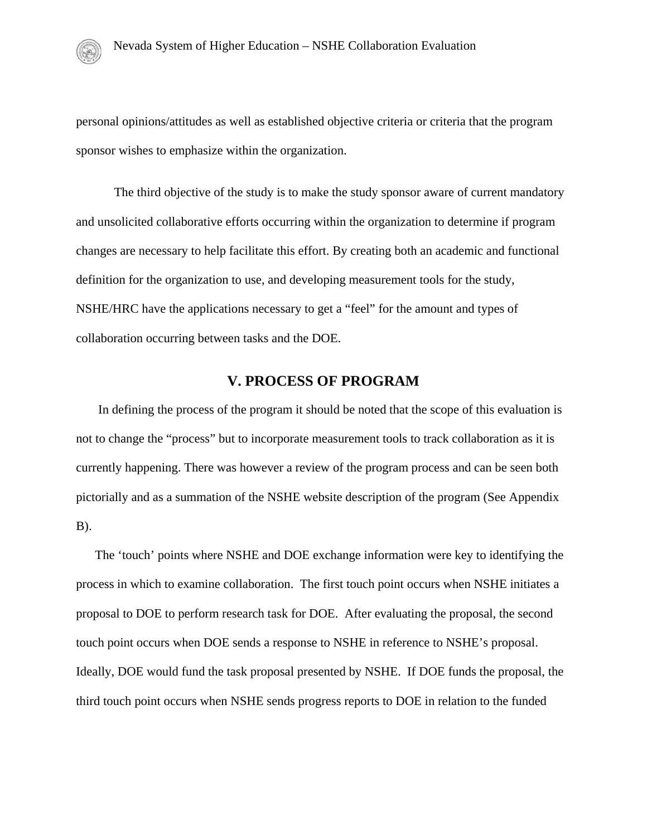personal opinions/attitudes as well as established objective criteria or criteria that the program sponsor wishes to emphasize within the organization.

The third objective of the study is to make the study sponsor aware of current mandatory and unsolicited collaborative efforts occurring within the organization to determine if program changes are necessary to help facilitate this effort. By creating both an academic and functional definition for the organization to use, and developing measurement tools for the study, NSHE/HRC have the applications necessary to get a "feel" for the amount and types of collaboration occurring between tasks and the DOE.

# **V. PROCESS OF PROGRAM**

 In defining the process of the program it should be noted that the scope of this evaluation is not to change the "process" but to incorporate measurement tools to track collaboration as it is currently happening. There was however a review of the program process and can be seen both pictorially and as a summation of the NSHE website description of the program (See Appendix B).

 The 'touch' points where NSHE and DOE exchange information were key to identifying the process in which to examine collaboration. The first touch point occurs when NSHE initiates a proposal to DOE to perform research task for DOE. After evaluating the proposal, the second touch point occurs when DOE sends a response to NSHE in reference to NSHE's proposal. Ideally, DOE would fund the task proposal presented by NSHE. If DOE funds the proposal, the third touch point occurs when NSHE sends progress reports to DOE in relation to the funded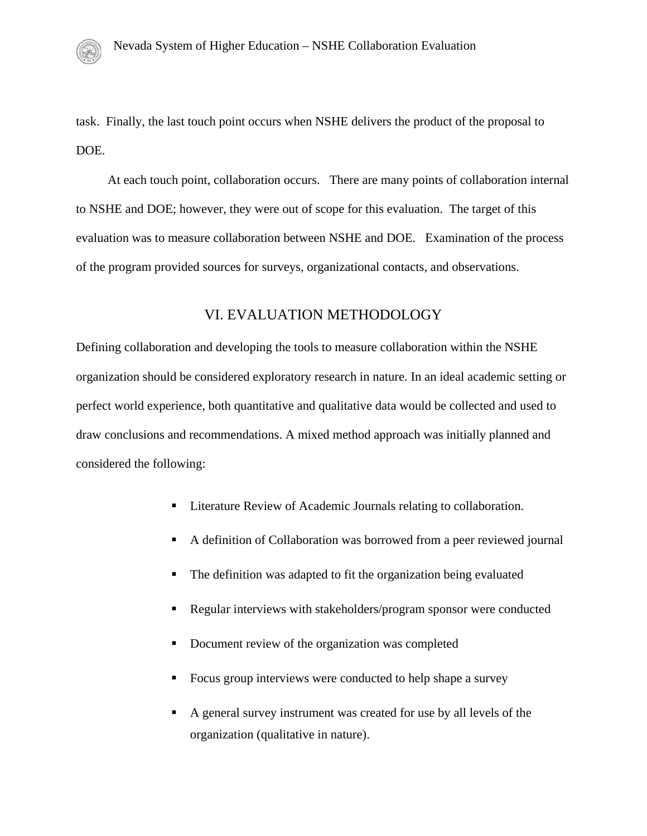task. Finally, the last touch point occurs when NSHE delivers the product of the proposal to DOE.

 At each touch point, collaboration occurs. There are many points of collaboration internal to NSHE and DOE; however, they were out of scope for this evaluation. The target of this evaluation was to measure collaboration between NSHE and DOE. Examination of the process of the program provided sources for surveys, organizational contacts, and observations.

# VI. EVALUATION METHODOLOGY

Defining collaboration and developing the tools to measure collaboration within the NSHE organization should be considered exploratory research in nature. In an ideal academic setting or perfect world experience, both quantitative and qualitative data would be collected and used to draw conclusions and recommendations. A mixed method approach was initially planned and considered the following:

- Literature Review of Academic Journals relating to collaboration.
- A definition of Collaboration was borrowed from a peer reviewed journal
- The definition was adapted to fit the organization being evaluated
- Regular interviews with stakeholders/program sponsor were conducted
- Document review of the organization was completed
- Focus group interviews were conducted to help shape a survey
- A general survey instrument was created for use by all levels of the organization (qualitative in nature).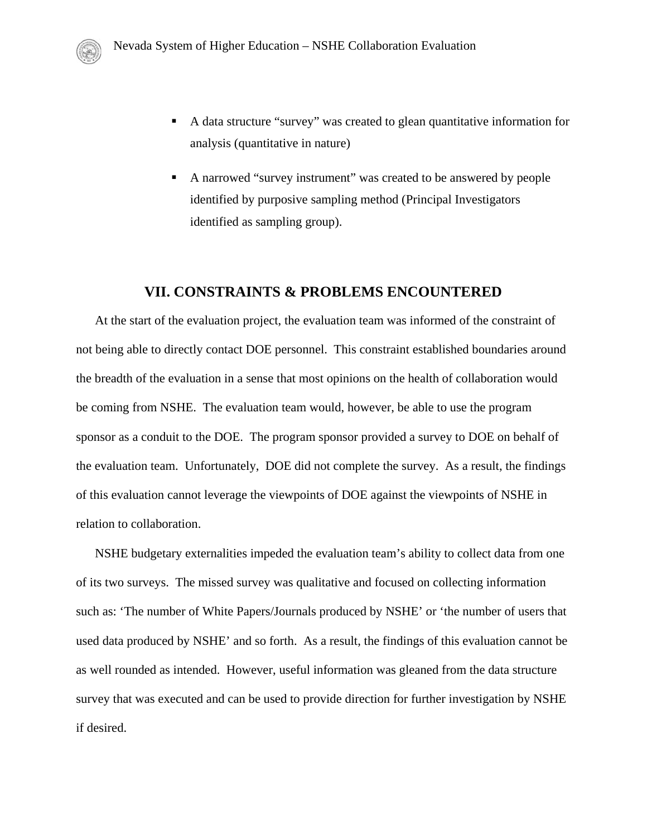- A data structure "survey" was created to glean quantitative information for analysis (quantitative in nature)
- A narrowed "survey instrument" was created to be answered by people identified by purposive sampling method (Principal Investigators identified as sampling group).

### **VII. CONSTRAINTS & PROBLEMS ENCOUNTERED**

At the start of the evaluation project, the evaluation team was informed of the constraint of not being able to directly contact DOE personnel. This constraint established boundaries around the breadth of the evaluation in a sense that most opinions on the health of collaboration would be coming from NSHE. The evaluation team would, however, be able to use the program sponsor as a conduit to the DOE. The program sponsor provided a survey to DOE on behalf of the evaluation team. Unfortunately, DOE did not complete the survey. As a result, the findings of this evaluation cannot leverage the viewpoints of DOE against the viewpoints of NSHE in relation to collaboration.

NSHE budgetary externalities impeded the evaluation team's ability to collect data from one of its two surveys. The missed survey was qualitative and focused on collecting information such as: 'The number of White Papers/Journals produced by NSHE' or 'the number of users that used data produced by NSHE' and so forth. As a result, the findings of this evaluation cannot be as well rounded as intended. However, useful information was gleaned from the data structure survey that was executed and can be used to provide direction for further investigation by NSHE if desired.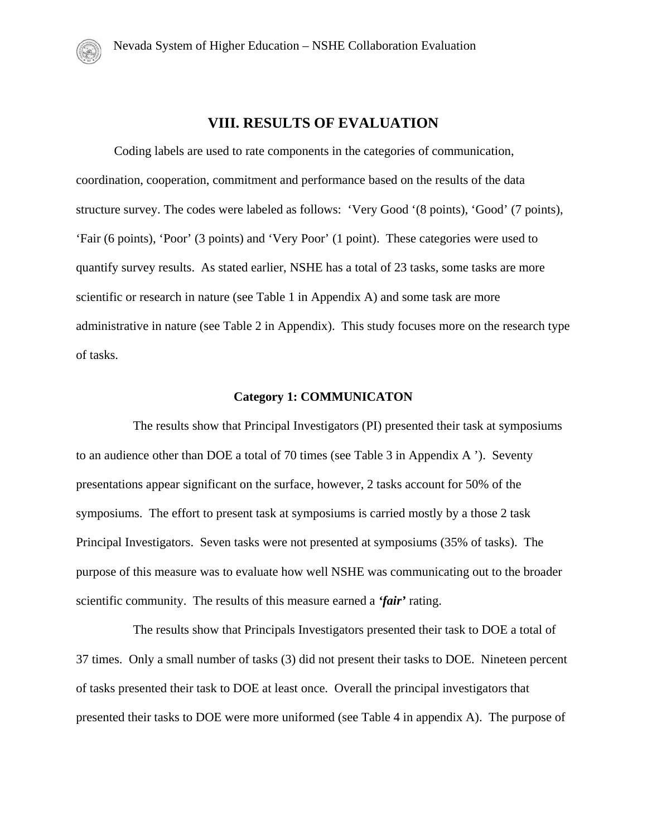# **VIII. RESULTS OF EVALUATION**

Coding labels are used to rate components in the categories of communication, coordination, cooperation, commitment and performance based on the results of the data structure survey. The codes were labeled as follows: 'Very Good '(8 points), 'Good' (7 points), 'Fair (6 points), 'Poor' (3 points) and 'Very Poor' (1 point). These categories were used to quantify survey results. As stated earlier, NSHE has a total of 23 tasks, some tasks are more scientific or research in nature (see Table 1 in Appendix A) and some task are more administrative in nature (see Table 2 in Appendix). This study focuses more on the research type of tasks.

#### **Category 1: COMMUNICATON**

The results show that Principal Investigators (PI) presented their task at symposiums to an audience other than DOE a total of 70 times (see Table 3 in Appendix A '). Seventy presentations appear significant on the surface, however, 2 tasks account for 50% of the symposiums. The effort to present task at symposiums is carried mostly by a those 2 task Principal Investigators. Seven tasks were not presented at symposiums (35% of tasks). The purpose of this measure was to evaluate how well NSHE was communicating out to the broader scientific community. The results of this measure earned a *'fair'* rating.

The results show that Principals Investigators presented their task to DOE a total of 37 times. Only a small number of tasks (3) did not present their tasks to DOE. Nineteen percent of tasks presented their task to DOE at least once. Overall the principal investigators that presented their tasks to DOE were more uniformed (see Table 4 in appendix A). The purpose of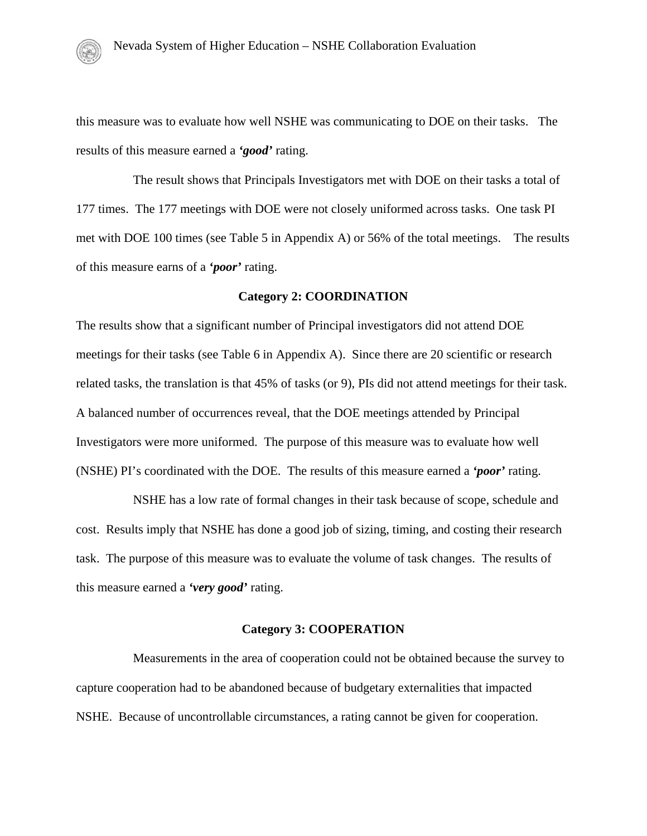this measure was to evaluate how well NSHE was communicating to DOE on their tasks. The results of this measure earned a *'good'* rating.

The result shows that Principals Investigators met with DOE on their tasks a total of 177 times. The 177 meetings with DOE were not closely uniformed across tasks. One task PI met with DOE 100 times (see Table 5 in Appendix A) or 56% of the total meetings. The results of this measure earns of a *'poor'* rating.

#### **Category 2: COORDINATION**

The results show that a significant number of Principal investigators did not attend DOE meetings for their tasks (see Table 6 in Appendix A). Since there are 20 scientific or research related tasks, the translation is that 45% of tasks (or 9), PIs did not attend meetings for their task. A balanced number of occurrences reveal, that the DOE meetings attended by Principal Investigators were more uniformed. The purpose of this measure was to evaluate how well (NSHE) PI's coordinated with the DOE. The results of this measure earned a *'poor'* rating.

NSHE has a low rate of formal changes in their task because of scope, schedule and cost. Results imply that NSHE has done a good job of sizing, timing, and costing their research task. The purpose of this measure was to evaluate the volume of task changes. The results of this measure earned a *'very good'* rating.

#### **Category 3: COOPERATION**

Measurements in the area of cooperation could not be obtained because the survey to capture cooperation had to be abandoned because of budgetary externalities that impacted NSHE. Because of uncontrollable circumstances, a rating cannot be given for cooperation.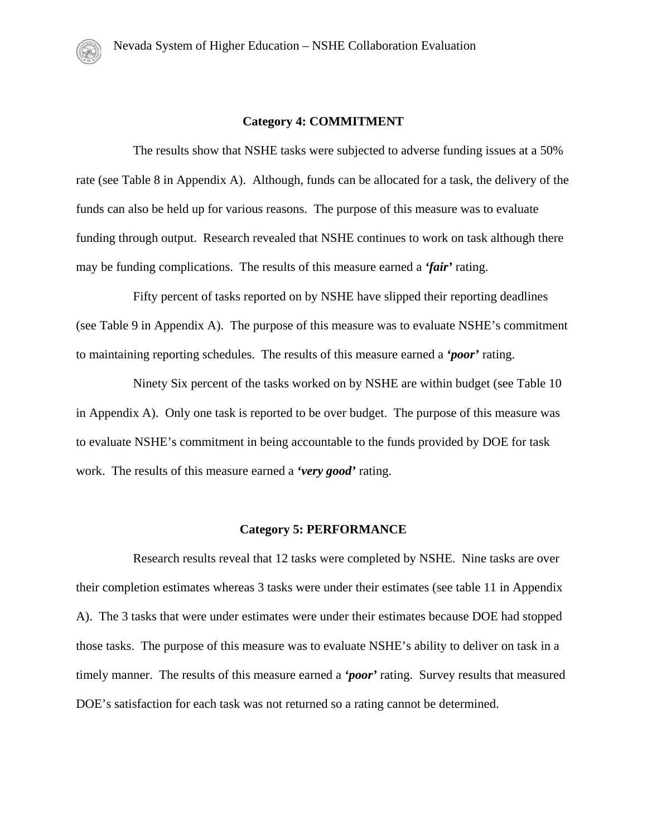#### **Category 4: COMMITMENT**

The results show that NSHE tasks were subjected to adverse funding issues at a 50% rate (see Table 8 in Appendix A). Although, funds can be allocated for a task, the delivery of the funds can also be held up for various reasons. The purpose of this measure was to evaluate funding through output. Research revealed that NSHE continues to work on task although there may be funding complications. The results of this measure earned a *'fair'* rating.

Fifty percent of tasks reported on by NSHE have slipped their reporting deadlines (see Table 9 in Appendix A). The purpose of this measure was to evaluate NSHE's commitment to maintaining reporting schedules. The results of this measure earned a *'poor'* rating.

Ninety Six percent of the tasks worked on by NSHE are within budget (see Table 10 in Appendix A). Only one task is reported to be over budget. The purpose of this measure was to evaluate NSHE's commitment in being accountable to the funds provided by DOE for task work. The results of this measure earned a *'very good'* rating.

#### **Category 5: PERFORMANCE**

Research results reveal that 12 tasks were completed by NSHE. Nine tasks are over their completion estimates whereas 3 tasks were under their estimates (see table 11 in Appendix A). The 3 tasks that were under estimates were under their estimates because DOE had stopped those tasks. The purpose of this measure was to evaluate NSHE's ability to deliver on task in a timely manner. The results of this measure earned a *'poor'* rating. Survey results that measured DOE's satisfaction for each task was not returned so a rating cannot be determined.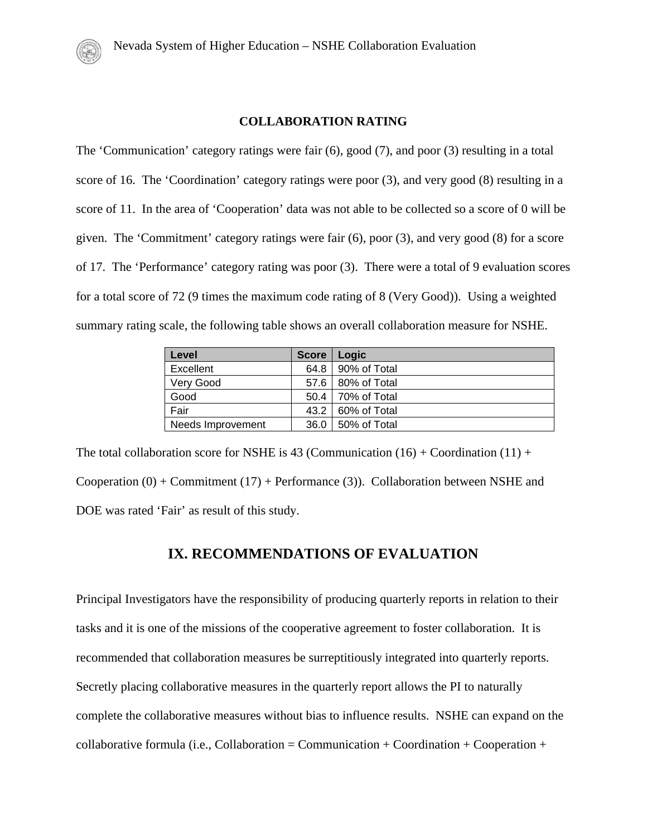#### **COLLABORATION RATING**

The 'Communication' category ratings were fair (6), good (7), and poor (3) resulting in a total score of 16. The 'Coordination' category ratings were poor (3), and very good (8) resulting in a score of 11. In the area of 'Cooperation' data was not able to be collected so a score of 0 will be given. The 'Commitment' category ratings were fair (6), poor (3), and very good (8) for a score of 17. The 'Performance' category rating was poor (3). There were a total of 9 evaluation scores for a total score of 72 (9 times the maximum code rating of 8 (Very Good)). Using a weighted summary rating scale, the following table shows an overall collaboration measure for NSHE.

| Level             | <b>Score</b> | Logic               |
|-------------------|--------------|---------------------|
| Excellent         | 64.8         | 90% of Total        |
| Very Good         |              | 57.6   80% of Total |
| Good              |              | 50.4   70% of Total |
| Fair              |              | 43.2   60% of Total |
| Needs Improvement | 36.0         | 50% of Total        |

The total collaboration score for NSHE is 43 (Communication  $(16) +$ Coordination  $(11) +$ Cooperation  $(0)$  + Commitment  $(17)$  + Performance  $(3)$ ). Collaboration between NSHE and DOE was rated 'Fair' as result of this study.

# **IX. RECOMMENDATIONS OF EVALUATION**

Principal Investigators have the responsibility of producing quarterly reports in relation to their tasks and it is one of the missions of the cooperative agreement to foster collaboration. It is recommended that collaboration measures be surreptitiously integrated into quarterly reports. Secretly placing collaborative measures in the quarterly report allows the PI to naturally complete the collaborative measures without bias to influence results. NSHE can expand on the collaborative formula (i.e., Collaboration = Communication + Coordination + Cooperation +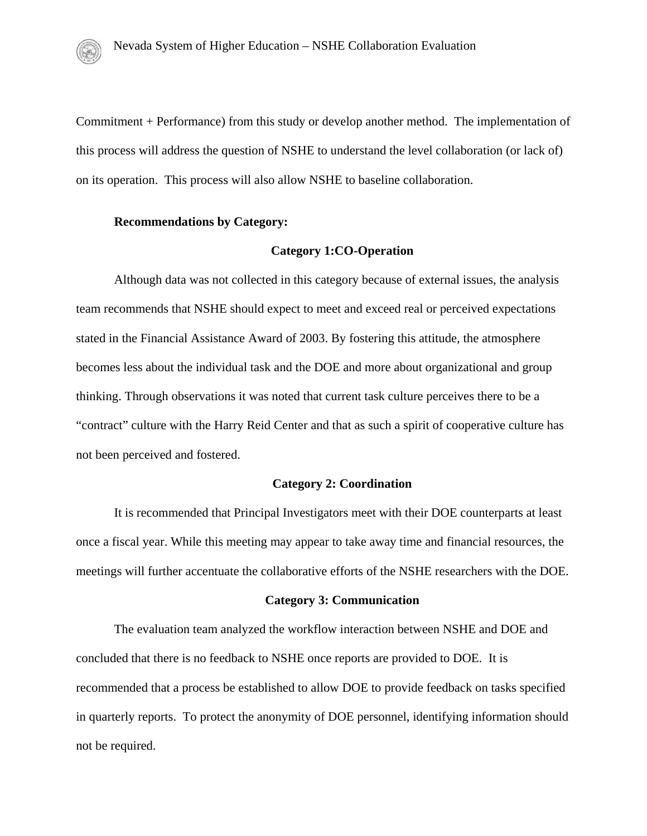Commitment + Performance) from this study or develop another method. The implementation of this process will address the question of NSHE to understand the level collaboration (or lack of) on its operation. This process will also allow NSHE to baseline collaboration.

#### **Recommendations by Category:**

#### **Category 1:CO-Operation**

Although data was not collected in this category because of external issues, the analysis team recommends that NSHE should expect to meet and exceed real or perceived expectations stated in the Financial Assistance Award of 2003. By fostering this attitude, the atmosphere becomes less about the individual task and the DOE and more about organizational and group thinking. Through observations it was noted that current task culture perceives there to be a "contract" culture with the Harry Reid Center and that as such a spirit of cooperative culture has not been perceived and fostered.

#### **Category 2: Coordination**

It is recommended that Principal Investigators meet with their DOE counterparts at least once a fiscal year. While this meeting may appear to take away time and financial resources, the meetings will further accentuate the collaborative efforts of the NSHE researchers with the DOE.

#### **Category 3: Communication**

The evaluation team analyzed the workflow interaction between NSHE and DOE and concluded that there is no feedback to NSHE once reports are provided to DOE. It is recommended that a process be established to allow DOE to provide feedback on tasks specified in quarterly reports. To protect the anonymity of DOE personnel, identifying information should not be required.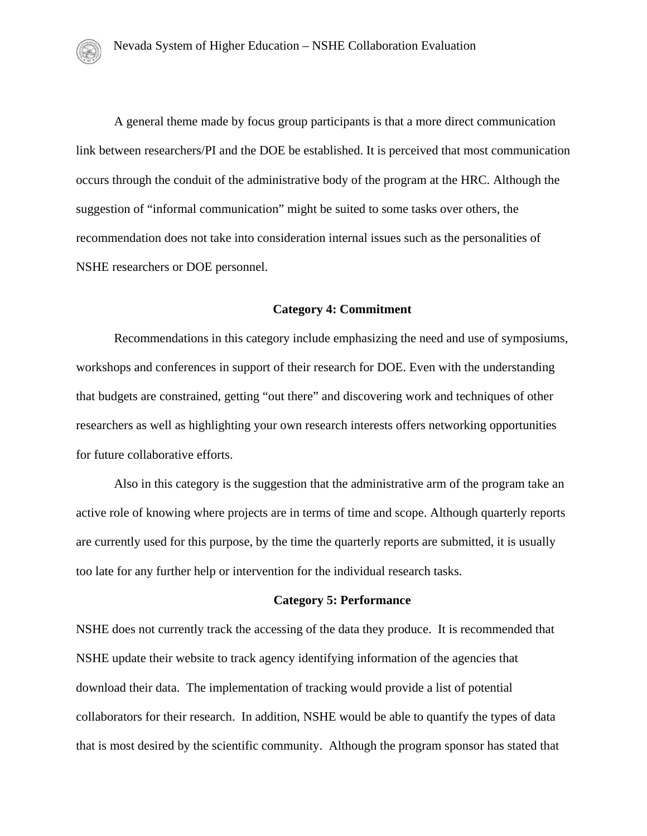A general theme made by focus group participants is that a more direct communication link between researchers/PI and the DOE be established. It is perceived that most communication occurs through the conduit of the administrative body of the program at the HRC. Although the suggestion of "informal communication" might be suited to some tasks over others, the recommendation does not take into consideration internal issues such as the personalities of NSHE researchers or DOE personnel.

#### **Category 4: Commitment**

Recommendations in this category include emphasizing the need and use of symposiums, workshops and conferences in support of their research for DOE. Even with the understanding that budgets are constrained, getting "out there" and discovering work and techniques of other researchers as well as highlighting your own research interests offers networking opportunities for future collaborative efforts.

Also in this category is the suggestion that the administrative arm of the program take an active role of knowing where projects are in terms of time and scope. Although quarterly reports are currently used for this purpose, by the time the quarterly reports are submitted, it is usually too late for any further help or intervention for the individual research tasks.

#### **Category 5: Performance**

NSHE does not currently track the accessing of the data they produce. It is recommended that NSHE update their website to track agency identifying information of the agencies that download their data. The implementation of tracking would provide a list of potential collaborators for their research. In addition, NSHE would be able to quantify the types of data that is most desired by the scientific community. Although the program sponsor has stated that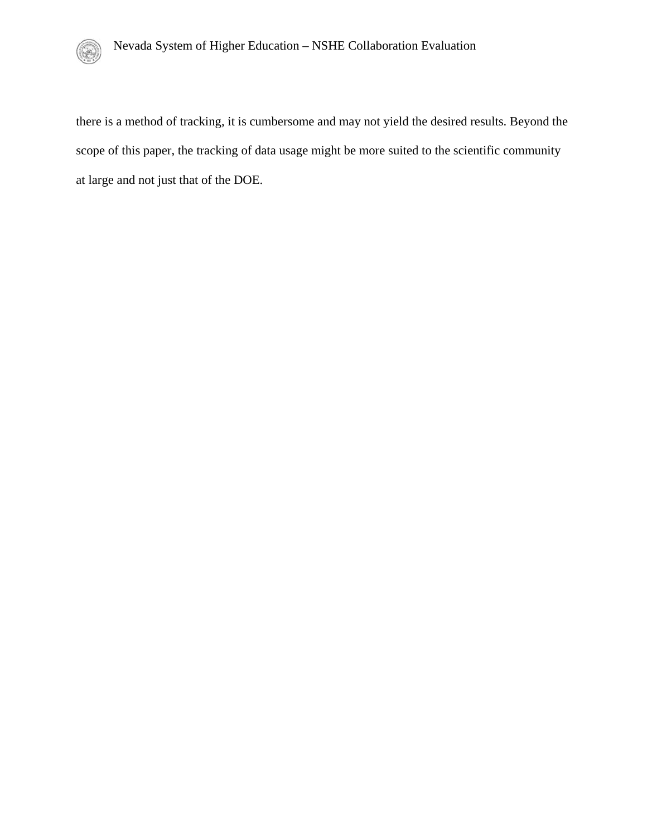

there is a method of tracking, it is cumbersome and may not yield the desired results. Beyond the scope of this paper, the tracking of data usage might be more suited to the scientific community at large and not just that of the DOE.